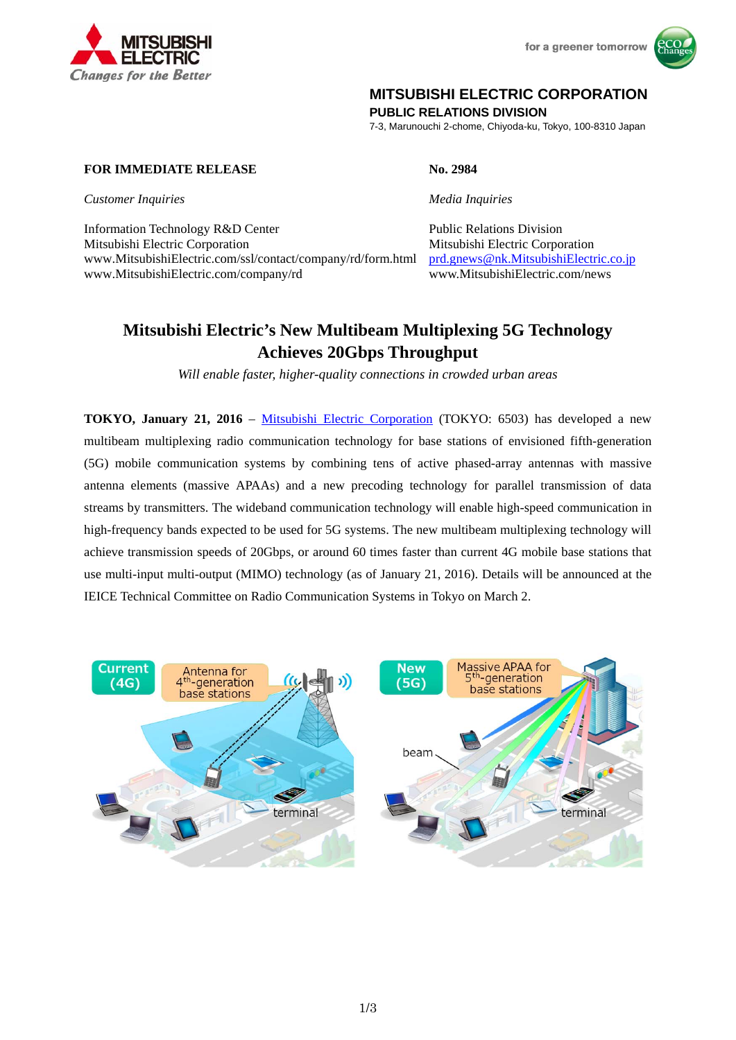

for a greener tomorrow



# **MITSUBISHI ELECTRIC CORPORATION**

**PUBLIC RELATIONS DIVISION** 

7-3, Marunouchi 2-chome, Chiyoda-ku, Tokyo, 100-8310 Japan

## **FOR IMMEDIATE RELEASE No. 2984**

*Customer Inquiries Media Inquiries*

Information Technology R&D Center Public Relations Division Mitsubishi Electric Corporation Mitsubishi Electric Corporation www.MitsubishiElectric.com/ssl/contact/company/rd/form.html prd.gnews@nk.MitsubishiElectric.co.jp www.MitsubishiElectric.com/company/rd www.MitsubishiElectric.com/news

# **Mitsubishi Electric's New Multibeam Multiplexing 5G Technology Achieves 20Gbps Throughput**

*Will enable faster, higher-quality connections in crowded urban areas* 

**TOKYO, January 21, 2016** – Mitsubishi Electric Corporation (TOKYO: 6503) has developed a new multibeam multiplexing radio communication technology for base stations of envisioned fifth-generation (5G) mobile communication systems by combining tens of active phased-array antennas with massive antenna elements (massive APAAs) and a new precoding technology for parallel transmission of data streams by transmitters. The wideband communication technology will enable high-speed communication in high-frequency bands expected to be used for 5G systems. The new multibeam multiplexing technology will achieve transmission speeds of 20Gbps, or around 60 times faster than current 4G mobile base stations that use multi-input multi-output (MIMO) technology (as of January 21, 2016). Details will be announced at the IEICE Technical Committee on Radio Communication Systems in Tokyo on March 2.

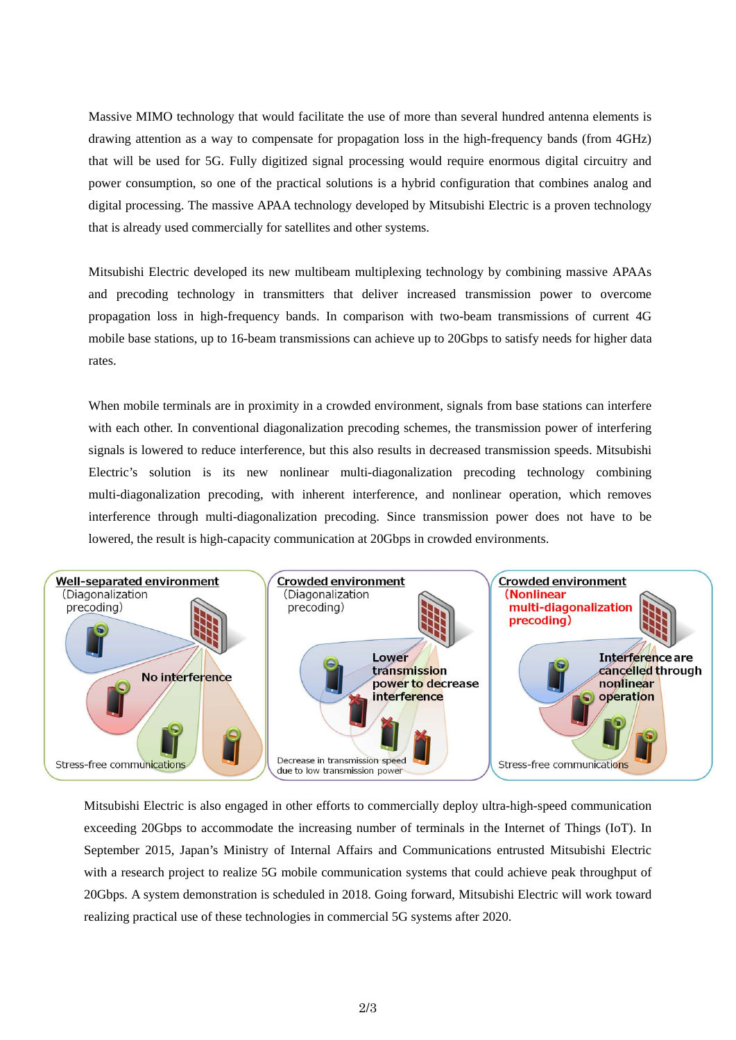Massive MIMO technology that would facilitate the use of more than several hundred antenna elements is drawing attention as a way to compensate for propagation loss in the high-frequency bands (from 4GHz) that will be used for 5G. Fully digitized signal processing would require enormous digital circuitry and power consumption, so one of the practical solutions is a hybrid configuration that combines analog and digital processing. The massive APAA technology developed by Mitsubishi Electric is a proven technology that is already used commercially for satellites and other systems.

Mitsubishi Electric developed its new multibeam multiplexing technology by combining massive APAAs and precoding technology in transmitters that deliver increased transmission power to overcome propagation loss in high-frequency bands. In comparison with two-beam transmissions of current 4G mobile base stations, up to 16-beam transmissions can achieve up to 20Gbps to satisfy needs for higher data rates.

When mobile terminals are in proximity in a crowded environment, signals from base stations can interfere with each other. In conventional diagonalization precoding schemes, the transmission power of interfering signals is lowered to reduce interference, but this also results in decreased transmission speeds. Mitsubishi Electric's solution is its new nonlinear multi-diagonalization precoding technology combining multi-diagonalization precoding, with inherent interference, and nonlinear operation, which removes interference through multi-diagonalization precoding. Since transmission power does not have to be lowered, the result is high-capacity communication at 20Gbps in crowded environments.



Mitsubishi Electric is also engaged in other efforts to commercially deploy ultra-high-speed communication exceeding 20Gbps to accommodate the increasing number of terminals in the Internet of Things (IoT). In September 2015, Japan's Ministry of Internal Affairs and Communications entrusted Mitsubishi Electric with a research project to realize 5G mobile communication systems that could achieve peak throughput of 20Gbps. A system demonstration is scheduled in 2018. Going forward, Mitsubishi Electric will work toward realizing practical use of these technologies in commercial 5G systems after 2020.